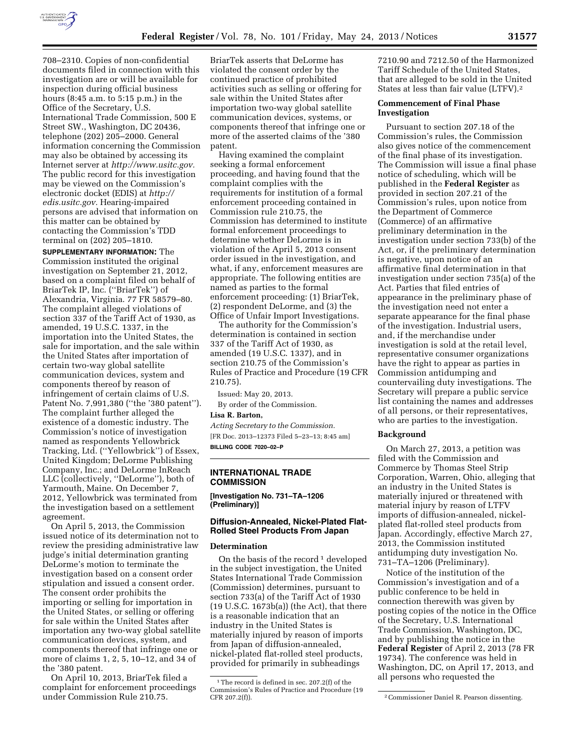

708–2310. Copies of non-confidential documents filed in connection with this investigation are or will be available for inspection during official business hours (8:45 a.m. to 5:15 p.m.) in the Office of the Secretary, U.S. International Trade Commission, 500 E Street SW., Washington, DC 20436, telephone (202) 205–2000. General information concerning the Commission may also be obtained by accessing its Internet server at *[http://www.usitc.gov.](http://www.usitc.gov)*  The public record for this investigation may be viewed on the Commission's electronic docket (EDIS) at *[http://](http://edis.usitc.gov)  [edis.usitc.gov.](http://edis.usitc.gov)* Hearing-impaired persons are advised that information on this matter can be obtained by contacting the Commission's TDD terminal on (202) 205–1810.

**SUPPLEMENTARY INFORMATION:** The Commission instituted the original investigation on September 21, 2012, based on a complaint filed on behalf of BriarTek IP, Inc. (''BriarTek'') of Alexandria, Virginia. 77 FR 58579–80. The complaint alleged violations of section 337 of the Tariff Act of 1930, as amended, 19 U.S.C. 1337, in the importation into the United States, the sale for importation, and the sale within the United States after importation of certain two-way global satellite communication devices, system and components thereof by reason of infringement of certain claims of U.S. Patent No. 7,991,380 (''the '380 patent''). The complaint further alleged the existence of a domestic industry. The Commission's notice of investigation named as respondents Yellowbrick Tracking, Ltd. (''Yellowbrick'') of Essex, United Kingdom; DeLorme Publishing Company, Inc.; and DeLorme InReach LLC (collectively, ''DeLorme''), both of Yarmouth, Maine. On December 7, 2012, Yellowbrick was terminated from the investigation based on a settlement agreement.

On April 5, 2013, the Commission issued notice of its determination not to review the presiding administrative law judge's initial determination granting DeLorme's motion to terminate the investigation based on a consent order stipulation and issued a consent order. The consent order prohibits the importing or selling for importation in the United States, or selling or offering for sale within the United States after importation any two-way global satellite communication devices, system, and components thereof that infringe one or more of claims 1, 2, 5, 10–12, and 34 of the '380 patent.

On April 10, 2013, BriarTek filed a complaint for enforcement proceedings under Commission Rule 210.75.

BriarTek asserts that DeLorme has violated the consent order by the continued practice of prohibited activities such as selling or offering for sale within the United States after importation two-way global satellite communication devices, systems, or components thereof that infringe one or more of the asserted claims of the '380 patent.

Having examined the complaint seeking a formal enforcement proceeding, and having found that the complaint complies with the requirements for institution of a formal enforcement proceeding contained in Commission rule 210.75, the Commission has determined to institute formal enforcement proceedings to determine whether DeLorme is in violation of the April 5, 2013 consent order issued in the investigation, and what, if any, enforcement measures are appropriate. The following entities are named as parties to the formal enforcement proceeding: (1) BriarTek, (2) respondent DeLorme, and (3) the Office of Unfair Import Investigations.

The authority for the Commission's determination is contained in section 337 of the Tariff Act of 1930, as amended (19 U.S.C. 1337), and in section 210.75 of the Commission's Rules of Practice and Procedure (19 CFR 210.75).

Issued: May 20, 2013. By order of the Commission. **Lisa R. Barton,** 

*Acting Secretary to the Commission.*  [FR Doc. 2013–12373 Filed 5–23–13; 8:45 am] **BILLING CODE 7020–02–P** 

## **INTERNATIONAL TRADE COMMISSION**

**[Investigation No. 731–TA–1206 (Preliminary)]** 

# **Diffusion-Annealed, Nickel-Plated Flat-Rolled Steel Products From Japan**

#### **Determination**

On the basis of the record  $\frac{1}{1}$  developed in the subject investigation, the United States International Trade Commission (Commission) determines, pursuant to section 733(a) of the Tariff Act of 1930 (19 U.S.C. 1673b(a)) (the Act), that there is a reasonable indication that an industry in the United States is materially injured by reason of imports from Japan of diffusion-annealed, nickel-plated flat-rolled steel products, provided for primarily in subheadings

7210.90 and 7212.50 of the Harmonized Tariff Schedule of the United States, that are alleged to be sold in the United States at less than fair value (LTFV).2

# **Commencement of Final Phase Investigation**

Pursuant to section 207.18 of the Commission's rules, the Commission also gives notice of the commencement of the final phase of its investigation. The Commission will issue a final phase notice of scheduling, which will be published in the **Federal Register** as provided in section 207.21 of the Commission's rules, upon notice from the Department of Commerce (Commerce) of an affirmative preliminary determination in the investigation under section 733(b) of the Act, or, if the preliminary determination is negative, upon notice of an affirmative final determination in that investigation under section 735(a) of the Act. Parties that filed entries of appearance in the preliminary phase of the investigation need not enter a separate appearance for the final phase of the investigation. Industrial users, and, if the merchandise under investigation is sold at the retail level, representative consumer organizations have the right to appear as parties in Commission antidumping and countervailing duty investigations. The Secretary will prepare a public service list containing the names and addresses of all persons, or their representatives, who are parties to the investigation.

#### **Background**

On March 27, 2013, a petition was filed with the Commission and Commerce by Thomas Steel Strip Corporation, Warren, Ohio, alleging that an industry in the United States is materially injured or threatened with material injury by reason of LTFV imports of diffusion-annealed, nickelplated flat-rolled steel products from Japan. Accordingly, effective March 27, 2013, the Commission instituted antidumping duty investigation No. 731–TA–1206 (Preliminary).

Notice of the institution of the Commission's investigation and of a public conference to be held in connection therewith was given by posting copies of the notice in the Office of the Secretary, U.S. International Trade Commission, Washington, DC, and by publishing the notice in the **Federal Register** of April 2, 2013 (78 FR 19734). The conference was held in Washington, DC, on April 17, 2013, and all persons who requested the

<sup>&</sup>lt;sup>1</sup>The record is defined in sec. 207.2(f) of the Commission's Rules of Practice and Procedure (19

<sup>&</sup>lt;sup>2</sup> Commissioner Daniel R. Pearson dissenting.